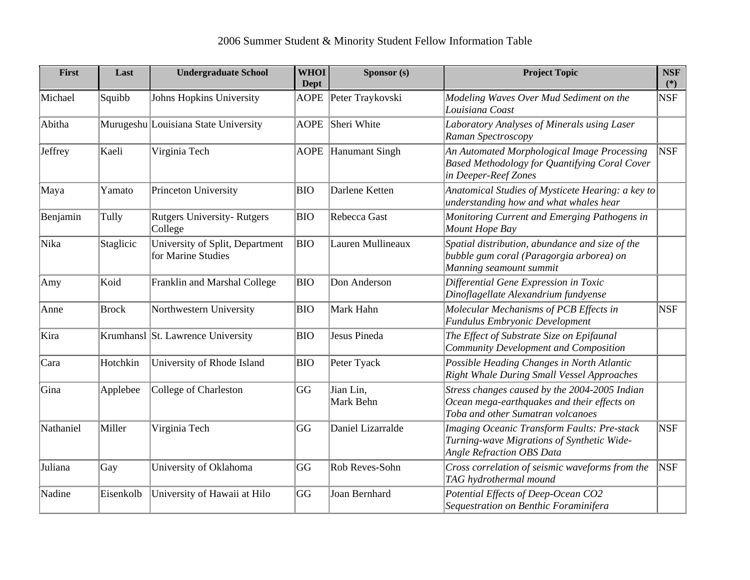| First     | Last         | <b>Undergraduate School</b>                           | <b>WHOI</b><br><b>Dept</b> | Sponsor (s)            | <b>Project Topic</b>                                                                                                              | <b>NSF</b><br>$(*)$ |
|-----------|--------------|-------------------------------------------------------|----------------------------|------------------------|-----------------------------------------------------------------------------------------------------------------------------------|---------------------|
| Michael   | Squibb       | Johns Hopkins University                              | <b>AOPE</b>                | Peter Traykovski       | Modeling Waves Over Mud Sediment on the<br>Louisiana Coast                                                                        | NSF                 |
| Abitha    |              | Murugeshu Louisiana State University                  | <b>AOPE</b>                | Sheri White            | Laboratory Analyses of Minerals using Laser<br>Raman Spectroscopy                                                                 |                     |
| Jeffrey   | Kaeli        | Virginia Tech                                         | <b>AOPE</b>                | Hanumant Singh         | An Automated Morphological Image Processing<br>Based Methodology for Quantifying Coral Cover<br>in Deeper-Reef Zones              | <b>NSF</b>          |
| Maya      | Yamato       | Princeton University                                  | <b>BIO</b>                 | Darlene Ketten         | Anatomical Studies of Mysticete Hearing: a key to<br>understanding how and what whales hear                                       |                     |
| Benjamin  | Tully        | <b>Rutgers University-Rutgers</b><br>College          | <b>BIO</b>                 | Rebecca Gast           | Monitoring Current and Emerging Pathogens in<br>Mount Hope Bay                                                                    |                     |
| Nika      | Staglicic    | University of Split, Department<br>for Marine Studies | <b>BIO</b>                 | Lauren Mullineaux      | Spatial distribution, abundance and size of the<br>bubble gum coral (Paragorgia arborea) on<br>Manning seamount summit            |                     |
| Amy       | Koid         | Franklin and Marshal College                          | <b>BIO</b>                 | Don Anderson           | Differential Gene Expression in Toxic<br>Dinoflagellate Alexandrium fundyense                                                     |                     |
| Anne      | <b>Brock</b> | Northwestern University                               | <b>BIO</b>                 | Mark Hahn              | Molecular Mechanisms of PCB Effects in<br>Fundulus Embryonic Development                                                          | <b>NSF</b>          |
| Kira      |              | Krumhansl St. Lawrence University                     | <b>BIO</b>                 | Jesus Pineda           | The Effect of Substrate Size on Epifaunal<br><b>Community Development and Composition</b>                                         |                     |
| Cara      | Hotchkin     | University of Rhode Island                            | <b>BIO</b>                 | Peter Tyack            | Possible Heading Changes in North Atlantic<br>Right Whale During Small Vessel Approaches                                          |                     |
| Gina      | Applebee     | College of Charleston                                 | GG                         | Jian Lin,<br>Mark Behn | Stress changes caused by the 2004-2005 Indian<br>Ocean mega-earthquakes and their effects on<br>Toba and other Sumatran volcanoes |                     |
| Nathaniel | Miller       | Virginia Tech                                         | GG                         | Daniel Lizarralde      | Imaging Oceanic Transform Faults: Pre-stack<br>Turning-wave Migrations of Synthetic Wide-<br><b>Angle Refraction OBS Data</b>     | <b>NSF</b>          |
| Juliana   | Gay          | University of Oklahoma                                | GG                         | Rob Reves-Sohn         | Cross correlation of seismic waveforms from the<br>TAG hydrothermal mound                                                         | <b>NSF</b>          |
| Nadine    | Eisenkolb    | University of Hawaii at Hilo                          | GG                         | Joan Bernhard          | Potential Effects of Deep-Ocean CO2<br>Sequestration on Benthic Foraminifera                                                      |                     |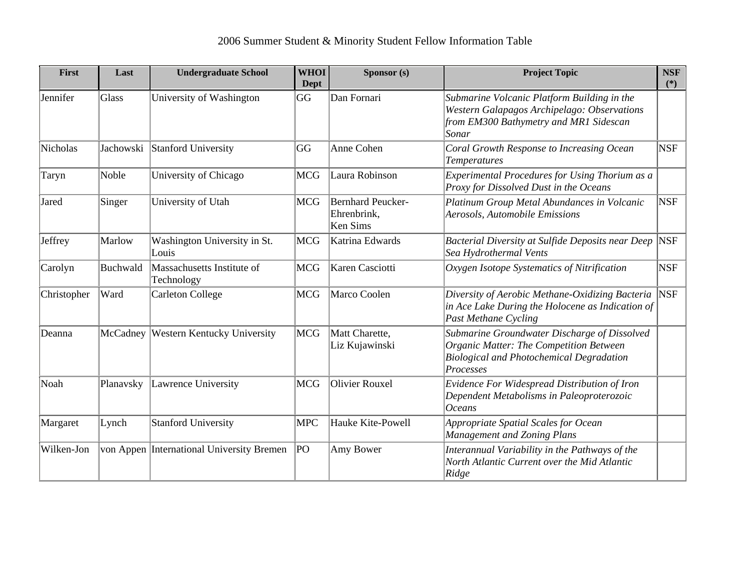| First       | Last      | <b>Undergraduate School</b>               | <b>WHOI</b><br><b>Dept</b> | Sponsor (s)                                         | <b>Project Topic</b>                                                                                                                                    | <b>NSF</b><br>$(*)$ |
|-------------|-----------|-------------------------------------------|----------------------------|-----------------------------------------------------|---------------------------------------------------------------------------------------------------------------------------------------------------------|---------------------|
| Jennifer    | Glass     | University of Washington                  | GG                         | Dan Fornari                                         | Submarine Volcanic Platform Building in the<br>Western Galapagos Archipelago: Observations<br>from EM300 Bathymetry and MR1 Sidescan<br>Sonar           |                     |
| Nicholas    | Jachowski | Stanford University                       | GG                         | Anne Cohen                                          | Coral Growth Response to Increasing Ocean<br><b>Temperatures</b>                                                                                        | <b>NSF</b>          |
| Taryn       | Noble     | University of Chicago                     | <b>MCG</b>                 | Laura Robinson                                      | Experimental Procedures for Using Thorium as a<br>Proxy for Dissolved Dust in the Oceans                                                                |                     |
| Jared       | Singer    | University of Utah                        | <b>MCG</b>                 | Bernhard Peucker-<br>Ehrenbrink,<br><b>Ken Sims</b> | Platinum Group Metal Abundances in Volcanic<br>Aerosols, Automobile Emissions                                                                           | <b>NSF</b>          |
| Jeffrey     | Marlow    | Washington University in St.<br>Louis     | <b>MCG</b>                 | Katrina Edwards                                     | Bacterial Diversity at Sulfide Deposits near Deep<br>Sea Hydrothermal Vents                                                                             | <b>NSF</b>          |
| Carolyn     | Buchwald  | Massachusetts Institute of<br>Technology  | <b>MCG</b>                 | Karen Casciotti                                     | Oxygen Isotope Systematics of Nitrification                                                                                                             | <b>NSF</b>          |
| Christopher | Ward      | <b>Carleton College</b>                   | <b>MCG</b>                 | Marco Coolen                                        | Diversity of Aerobic Methane-Oxidizing Bacteria<br>in Ace Lake During the Holocene as Indication of<br><b>Past Methane Cycling</b>                      | <b>NSF</b>          |
| Deanna      | McCadney  | Western Kentucky University               | <b>MCG</b>                 | Matt Charette,<br>Liz Kujawinski                    | Submarine Groundwater Discharge of Dissolved<br>Organic Matter: The Competition Between<br><b>Biological and Photochemical Degradation</b><br>Processes |                     |
| Noah        | Planavsky | Lawrence University                       | <b>MCG</b>                 | Olivier Rouxel                                      | Evidence For Widespread Distribution of Iron<br>Dependent Metabolisms in Paleoproterozoic<br><b>Oceans</b>                                              |                     |
| Margaret    | Lynch     | <b>Stanford University</b>                | <b>MPC</b>                 | Hauke Kite-Powell                                   | Appropriate Spatial Scales for Ocean<br>Management and Zoning Plans                                                                                     |                     |
| Wilken-Jon  |           | von Appen International University Bremen | PO                         | Amy Bower                                           | Interannual Variability in the Pathways of the<br>North Atlantic Current over the Mid Atlantic<br>Ridge                                                 |                     |